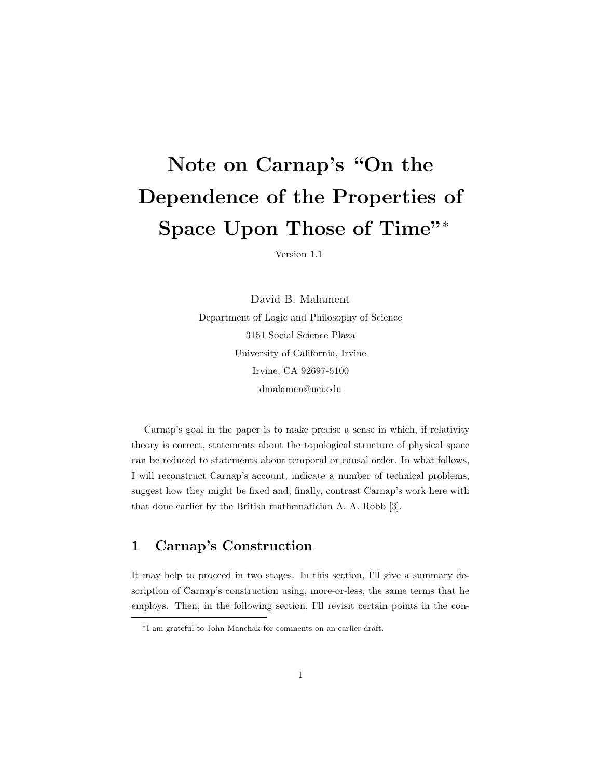# Note on Carnap's "On the Dependence of the Properties of Space Upon Those of Time"<sup>∗</sup>

Version 1.1

David B. Malament Department of Logic and Philosophy of Science 3151 Social Science Plaza University of California, Irvine Irvine, CA 92697-5100 dmalamen@uci.edu

Carnap's goal in the paper is to make precise a sense in which, if relativity theory is correct, statements about the topological structure of physical space can be reduced to statements about temporal or causal order. In what follows, I will reconstruct Carnap's account, indicate a number of technical problems, suggest how they might be fixed and, finally, contrast Carnap's work here with that done earlier by the British mathematician A. A. Robb [3].

### 1 Carnap's Construction

It may help to proceed in two stages. In this section, I'll give a summary description of Carnap's construction using, more-or-less, the same terms that he employs. Then, in the following section, I'll revisit certain points in the con-

<sup>∗</sup>I am grateful to John Manchak for comments on an earlier draft.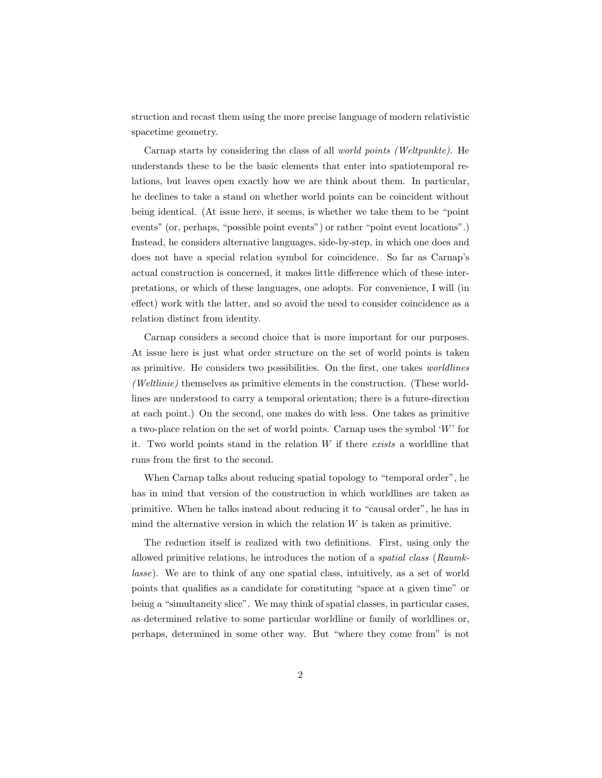struction and recast them using the more precise language of modern relativistic spacetime geometry.

Carnap starts by considering the class of all world points (Weltpunkte). He understands these to be the basic elements that enter into spatiotemporal relations, but leaves open exactly how we are think about them. In particular, he declines to take a stand on whether world points can be coincident without being identical. (At issue here, it seems, is whether we take them to be "point events" (or, perhaps, "possible point events") or rather "point event locations".) Instead, he considers alternative languages, side-by-step, in which one does and does not have a special relation symbol for coincidence. So far as Carnap's actual construction is concerned, it makes little difference which of these interpretations, or which of these languages, one adopts. For convenience, I will (in effect) work with the latter, and so avoid the need to consider coincidence as a relation distinct from identity.

Carnap considers a second choice that is more important for our purposes. At issue here is just what order structure on the set of world points is taken as primitive. He considers two possibilities. On the first, one takes worldlines (Weltlinie) themselves as primitive elements in the construction. (These worldlines are understood to carry a temporal orientation; there is a future-direction at each point.) On the second, one makes do with less. One takes as primitive a two-place relation on the set of world points. Carnap uses the symbol  $W'$  for it. Two world points stand in the relation  $W$  if there exists a worldline that runs from the first to the second.

When Carnap talks about reducing spatial topology to "temporal order", he has in mind that version of the construction in which worldlines are taken as primitive. When he talks instead about reducing it to "causal order", he has in mind the alternative version in which the relation  $W$  is taken as primitive.

The reduction itself is realized with two definitions. First, using only the allowed primitive relations, he introduces the notion of a spatial class (Raumklasse). We are to think of any one spatial class, intuitively, as a set of world points that qualifies as a candidate for constituting "space at a given time" or being a "simultaneity slice". We may think of spatial classes, in particular cases, as determined relative to some particular worldline or family of worldlines or, perhaps, determined in some other way. But "where they come from" is not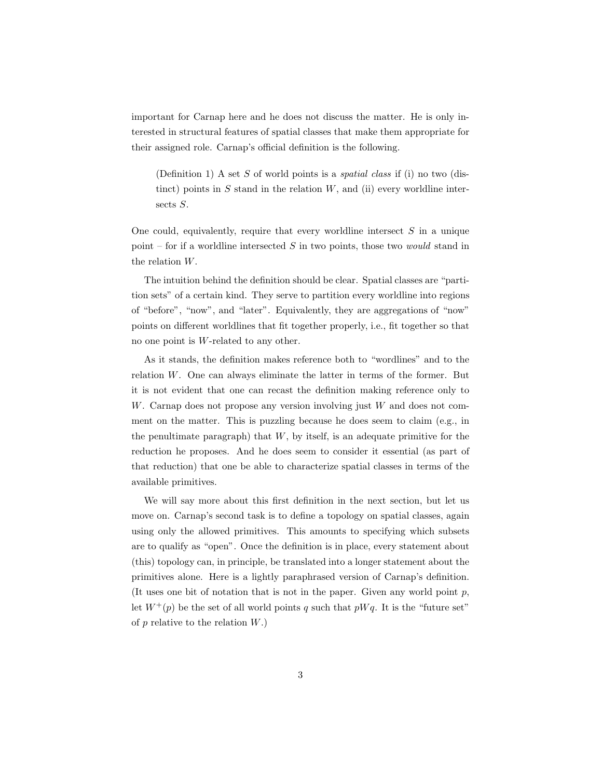important for Carnap here and he does not discuss the matter. He is only interested in structural features of spatial classes that make them appropriate for their assigned role. Carnap's official definition is the following.

(Definition 1) A set S of world points is a *spatial class* if (i) no two (distinct) points in  $S$  stand in the relation  $W$ , and (ii) every worldline intersects S.

One could, equivalently, require that every worldline intersect  $S$  in a unique point – for if a worldline intersected  $S$  in two points, those two *would* stand in the relation W.

The intuition behind the definition should be clear. Spatial classes are "partition sets" of a certain kind. They serve to partition every worldline into regions of "before", "now", and "later". Equivalently, they are aggregations of "now" points on different worldlines that fit together properly, i.e., fit together so that no one point is W-related to any other.

As it stands, the definition makes reference both to "wordlines" and to the relation W. One can always eliminate the latter in terms of the former. But it is not evident that one can recast the definition making reference only to  $W$ . Carnap does not propose any version involving just  $W$  and does not comment on the matter. This is puzzling because he does seem to claim (e.g., in the penultimate paragraph) that  $W$ , by itself, is an adequate primitive for the reduction he proposes. And he does seem to consider it essential (as part of that reduction) that one be able to characterize spatial classes in terms of the available primitives.

We will say more about this first definition in the next section, but let us move on. Carnap's second task is to define a topology on spatial classes, again using only the allowed primitives. This amounts to specifying which subsets are to qualify as "open". Once the definition is in place, every statement about (this) topology can, in principle, be translated into a longer statement about the primitives alone. Here is a lightly paraphrased version of Carnap's definition. (It uses one bit of notation that is not in the paper. Given any world point  $p$ , let  $W^+(p)$  be the set of all world points q such that  $pWq$ . It is the "future set" of  $p$  relative to the relation  $W$ .)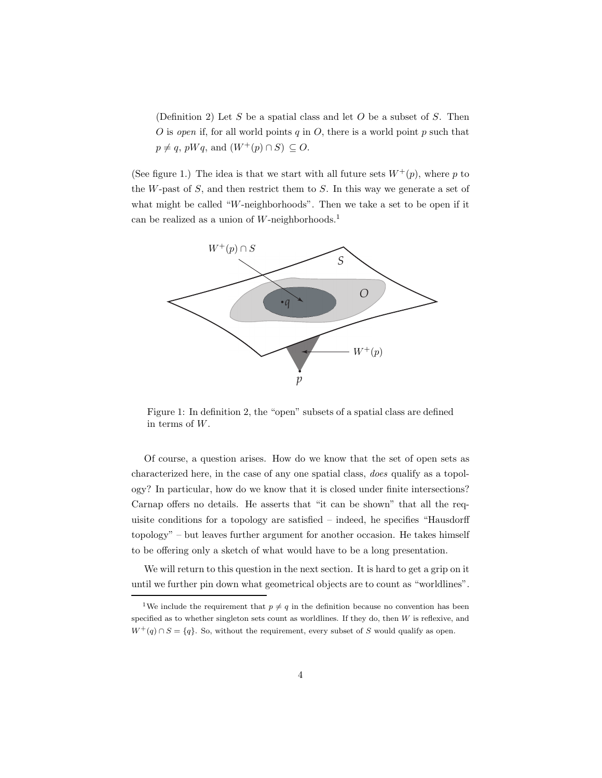(Definition 2) Let S be a spatial class and let O be a subset of S. Then O is open if, for all world points q in O, there is a world point p such that  $p \neq q$ , pWq, and  $(W^+(p) \cap S) \subseteq O$ .

(See figure 1.) The idea is that we start with all future sets  $W^+(p)$ , where p to the  $W$ -past of  $S$ , and then restrict them to  $S$ . In this way we generate a set of what might be called "W-neighborhoods". Then we take a set to be open if it can be realized as a union of  $W$ -neighborhoods.<sup>1</sup>



Figure 1: In definition 2, the "open" subsets of a spatial class are defined in terms of W.

Of course, a question arises. How do we know that the set of open sets as characterized here, in the case of any one spatial class, does qualify as a topology? In particular, how do we know that it is closed under finite intersections? Carnap offers no details. He asserts that "it can be shown" that all the requisite conditions for a topology are satisfied – indeed, he specifies "Hausdorff topology" – but leaves further argument for another occasion. He takes himself to be offering only a sketch of what would have to be a long presentation.

We will return to this question in the next section. It is hard to get a grip on it until we further pin down what geometrical objects are to count as "worldlines".

<sup>&</sup>lt;sup>1</sup>We include the requirement that  $p \neq q$  in the definition because no convention has been specified as to whether singleton sets count as worldlines. If they do, then  $W$  is reflexive, and  $W^+(q) \cap S = \{q\}$ . So, without the requirement, every subset of S would qualify as open.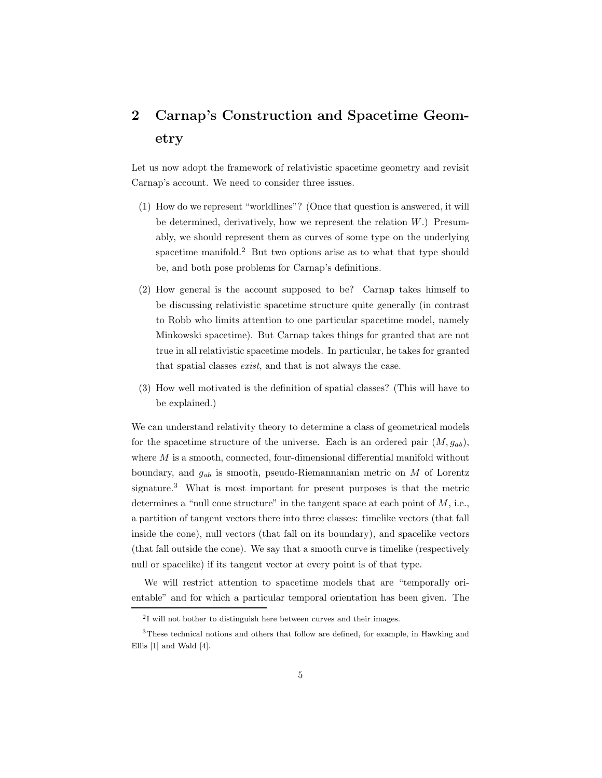## 2 Carnap's Construction and Spacetime Geometry

Let us now adopt the framework of relativistic spacetime geometry and revisit Carnap's account. We need to consider three issues.

- (1) How do we represent "worldlines"? (Once that question is answered, it will be determined, derivatively, how we represent the relation  $W$ .) Presumably, we should represent them as curves of some type on the underlying spacetime manifold.<sup>2</sup> But two options arise as to what that type should be, and both pose problems for Carnap's definitions.
- (2) How general is the account supposed to be? Carnap takes himself to be discussing relativistic spacetime structure quite generally (in contrast to Robb who limits attention to one particular spacetime model, namely Minkowski spacetime). But Carnap takes things for granted that are not true in all relativistic spacetime models. In particular, he takes for granted that spatial classes exist, and that is not always the case.
- (3) How well motivated is the definition of spatial classes? (This will have to be explained.)

We can understand relativity theory to determine a class of geometrical models for the spacetime structure of the universe. Each is an ordered pair  $(M, g_{ab})$ , where  $M$  is a smooth, connected, four-dimensional differential manifold without boundary, and  $g_{ab}$  is smooth, pseudo-Riemannanian metric on M of Lorentz signature.<sup>3</sup> What is most important for present purposes is that the metric determines a "null cone structure" in the tangent space at each point of  $M$ , i.e., a partition of tangent vectors there into three classes: timelike vectors (that fall inside the cone), null vectors (that fall on its boundary), and spacelike vectors (that fall outside the cone). We say that a smooth curve is timelike (respectively null or spacelike) if its tangent vector at every point is of that type.

We will restrict attention to spacetime models that are "temporally orientable" and for which a particular temporal orientation has been given. The

<sup>&</sup>lt;sup>2</sup>I will not bother to distinguish here between curves and their images.

<sup>3</sup>These technical notions and others that follow are defined, for example, in Hawking and Ellis [1] and Wald [4].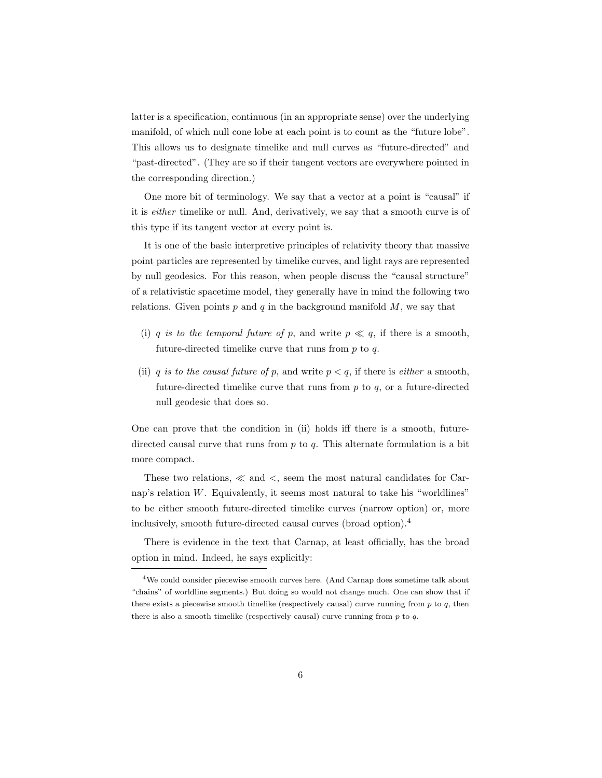latter is a specification, continuous (in an appropriate sense) over the underlying manifold, of which null cone lobe at each point is to count as the "future lobe". This allows us to designate timelike and null curves as "future-directed" and "past-directed". (They are so if their tangent vectors are everywhere pointed in the corresponding direction.)

One more bit of terminology. We say that a vector at a point is "causal" if it is either timelike or null. And, derivatively, we say that a smooth curve is of this type if its tangent vector at every point is.

It is one of the basic interpretive principles of relativity theory that massive point particles are represented by timelike curves, and light rays are represented by null geodesics. For this reason, when people discuss the "causal structure" of a relativistic spacetime model, they generally have in mind the following two relations. Given points  $p$  and  $q$  in the background manifold  $M$ , we say that

- (i) q is to the temporal future of p, and write  $p \ll q$ , if there is a smooth, future-directed timelike curve that runs from  $p$  to  $q$ .
- (ii) q is to the causal future of p, and write  $p < q$ , if there is *either* a smooth, future-directed timelike curve that runs from  $p$  to  $q$ , or a future-directed null geodesic that does so.

One can prove that the condition in (ii) holds iff there is a smooth, futuredirected causal curve that runs from  $p$  to  $q$ . This alternate formulation is a bit more compact.

These two relations, ≪ and <, seem the most natural candidates for Carnap's relation  $W$ . Equivalently, it seems most natural to take his "worldlines" to be either smooth future-directed timelike curves (narrow option) or, more inclusively, smooth future-directed causal curves (broad option).<sup>4</sup>

There is evidence in the text that Carnap, at least officially, has the broad option in mind. Indeed, he says explicitly:

<sup>4</sup>We could consider piecewise smooth curves here. (And Carnap does sometime talk about "chains" of worldline segments.) But doing so would not change much. One can show that if there exists a piecewise smooth timelike (respectively causal) curve running from  $p$  to  $q$ , then there is also a smooth timelike (respectively causal) curve running from  $p$  to  $q$ .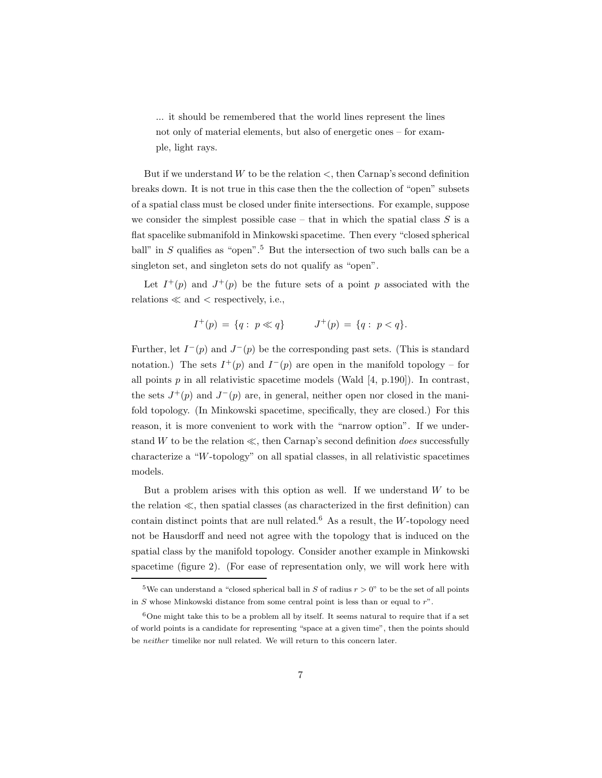... it should be remembered that the world lines represent the lines not only of material elements, but also of energetic ones – for example, light rays.

But if we understand  $W$  to be the relation  $\lt$ , then Carnap's second definition breaks down. It is not true in this case then the the collection of "open" subsets of a spatial class must be closed under finite intersections. For example, suppose we consider the simplest possible case – that in which the spatial class  $S$  is a flat spacelike submanifold in Minkowski spacetime. Then every "closed spherical ball" in  $S$  qualifies as "open".<sup>5</sup> But the intersection of two such balls can be a singleton set, and singleton sets do not qualify as "open".

Let  $I^+(p)$  and  $J^+(p)$  be the future sets of a point p associated with the relations  $\ll$  and  $\lt$  respectively, i.e.,

$$
I^+(p) = \{q: p \ll q\} \qquad J^+(p) = \{q: p < q\}.
$$

Further, let  $I^-(p)$  and  $J^-(p)$  be the corresponding past sets. (This is standard notation.) The sets  $I^+(p)$  and  $I^-(p)$  are open in the manifold topology – for all points  $p$  in all relativistic spacetime models (Wald [4, p.190]). In contrast, the sets  $J^+(p)$  and  $J^-(p)$  are, in general, neither open nor closed in the manifold topology. (In Minkowski spacetime, specifically, they are closed.) For this reason, it is more convenient to work with the "narrow option". If we understand W to be the relation  $\ll$ , then Carnap's second definition *does* successfully characterize a "W-topology" on all spatial classes, in all relativistic spacetimes models.

But a problem arises with this option as well. If we understand  $W$  to be the relation ≪, then spatial classes (as characterized in the first definition) can contain distinct points that are null related.<sup>6</sup> As a result, the  $W$ -topology need not be Hausdorff and need not agree with the topology that is induced on the spatial class by the manifold topology. Consider another example in Minkowski spacetime (figure 2). (For ease of representation only, we will work here with

<sup>&</sup>lt;sup>5</sup>We can understand a "closed spherical ball in S of radius  $r > 0$ " to be the set of all points in S whose Minkowski distance from some central point is less than or equal to  $r$ .

 $6$ One might take this to be a problem all by itself. It seems natural to require that if a set of world points is a candidate for representing "space at a given time", then the points should be neither timelike nor null related. We will return to this concern later.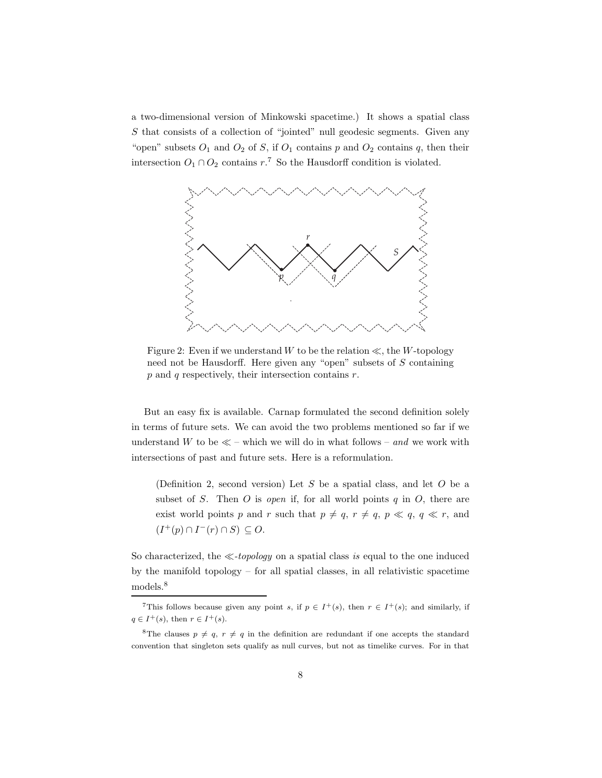a two-dimensional version of Minkowski spacetime.) It shows a spatial class S that consists of a collection of "jointed" null geodesic segments. Given any "open" subsets  $O_1$  and  $O_2$  of S, if  $O_1$  contains p and  $O_2$  contains q, then their intersection  $O_1 \cap O_2$  contains  $r^7$ . So the Hausdorff condition is violated.



Figure 2: Even if we understand W to be the relation  $\ll$ , the W-topology need not be Hausdorff. Here given any "open" subsets of S containing  $p$  and  $q$  respectively, their intersection contains  $r$ .

But an easy fix is available. Carnap formulated the second definition solely in terms of future sets. We can avoid the two problems mentioned so far if we understand W to be  $\ll$  – which we will do in what follows – and we work with intersections of past and future sets. Here is a reformulation.

(Definition 2, second version) Let S be a spatial class, and let O be a subset of S. Then  $O$  is open if, for all world points  $q$  in  $O$ , there are exist world points p and r such that  $p \neq q$ ,  $r \neq q$ ,  $p \ll q$ ,  $q \ll r$ , and  $(I^+(p) \cap I^-(r) \cap S) \subseteq O.$ 

So characterized, the  $\ll$ -topology on a spatial class is equal to the one induced by the manifold topology – for all spatial classes, in all relativistic spacetime models.<sup>8</sup>

<sup>&</sup>lt;sup>7</sup>This follows because given any point s, if  $p \in I^+(s)$ , then  $r \in I^+(s)$ ; and similarly, if  $q \in I^+(s)$ , then  $r \in I^+(s)$ .

<sup>&</sup>lt;sup>8</sup>The clauses  $p \neq q$ ,  $r \neq q$  in the definition are redundant if one accepts the standard convention that singleton sets qualify as null curves, but not as timelike curves. For in that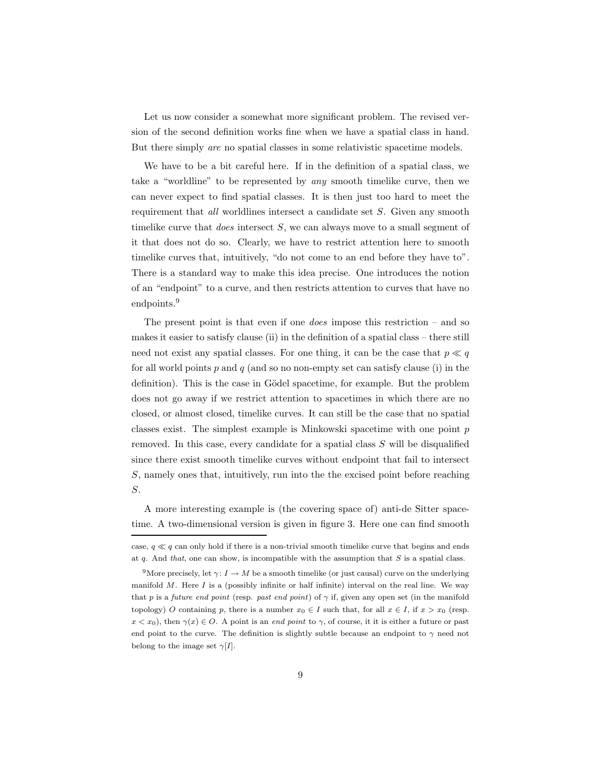Let us now consider a somewhat more significant problem. The revised version of the second definition works fine when we have a spatial class in hand. But there simply are no spatial classes in some relativistic spacetime models.

We have to be a bit careful here. If in the definition of a spatial class, we take a "worldline" to be represented by any smooth timelike curve, then we can never expect to find spatial classes. It is then just too hard to meet the requirement that all worldlines intersect a candidate set S. Given any smooth timelike curve that *does* intersect  $S$ , we can always move to a small segment of it that does not do so. Clearly, we have to restrict attention here to smooth timelike curves that, intuitively, "do not come to an end before they have to". There is a standard way to make this idea precise. One introduces the notion of an "endpoint" to a curve, and then restricts attention to curves that have no endpoints.<sup>9</sup>

The present point is that even if one *does* impose this restriction  $-$  and so makes it easier to satisfy clause (ii) in the definition of a spatial class – there still need not exist any spatial classes. For one thing, it can be the case that  $p \ll q$ for all world points  $p$  and  $q$  (and so no non-empty set can satisfy clause (i) in the definition). This is the case in Gödel spacetime, for example. But the problem does not go away if we restrict attention to spacetimes in which there are no closed, or almost closed, timelike curves. It can still be the case that no spatial classes exist. The simplest example is Minkowski spacetime with one point  $p$ removed. In this case, every candidate for a spatial class S will be disqualified since there exist smooth timelike curves without endpoint that fail to intersect S, namely ones that, intuitively, run into the the excised point before reaching S.

A more interesting example is (the covering space of) anti-de Sitter spacetime. A two-dimensional version is given in figure 3. Here one can find smooth

case,  $q \ll q$  can only hold if there is a non-trivial smooth timelike curve that begins and ends at q. And that, one can show, is incompatible with the assumption that  $S$  is a spatial class.

<sup>&</sup>lt;sup>9</sup>More precisely, let  $\gamma: I \to M$  be a smooth timelike (or just causal) curve on the underlying manifold  $M$ . Here  $I$  is a (possibly infinite or half infinite) interval on the real line. We way that p is a future end point (resp. past end point) of  $\gamma$  if, given any open set (in the manifold topology) O containing p, there is a number  $x_0 \in I$  such that, for all  $x \in I$ , if  $x > x_0$  (resp.  $x < x_0$ ), then  $\gamma(x) \in O$ . A point is an end point to  $\gamma$ , of course, it it is either a future or past end point to the curve. The definition is slightly subtle because an endpoint to  $\gamma$  need not belong to the image set  $\gamma[I]$ .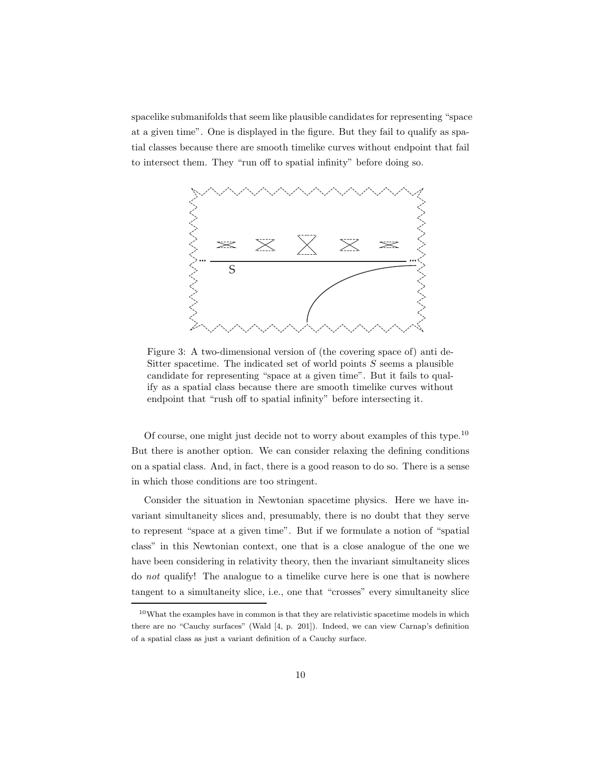spacelike submanifolds that seem like plausible candidates for representing "space at a given time". One is displayed in the figure. But they fail to qualify as spatial classes because there are smooth timelike curves without endpoint that fail to intersect them. They "run off to spatial infinity" before doing so.



Figure 3: A two-dimensional version of (the covering space of) anti de-Sitter spacetime. The indicated set of world points  $S$  seems a plausible candidate for representing "space at a given time". But it fails to qualify as a spatial class because there are smooth timelike curves without endpoint that "rush off to spatial infinity" before intersecting it.

Of course, one might just decide not to worry about examples of this type.<sup>10</sup> But there is another option. We can consider relaxing the defining conditions on a spatial class. And, in fact, there is a good reason to do so. There is a sense in which those conditions are too stringent.

Consider the situation in Newtonian spacetime physics. Here we have invariant simultaneity slices and, presumably, there is no doubt that they serve to represent "space at a given time". But if we formulate a notion of "spatial class" in this Newtonian context, one that is a close analogue of the one we have been considering in relativity theory, then the invariant simultaneity slices do not qualify! The analogue to a timelike curve here is one that is nowhere tangent to a simultaneity slice, i.e., one that "crosses" every simultaneity slice

<sup>10</sup>What the examples have in common is that they are relativistic spacetime models in which there are no "Cauchy surfaces" (Wald [4, p. 201]). Indeed, we can view Carnap's definition of a spatial class as just a variant definition of a Cauchy surface.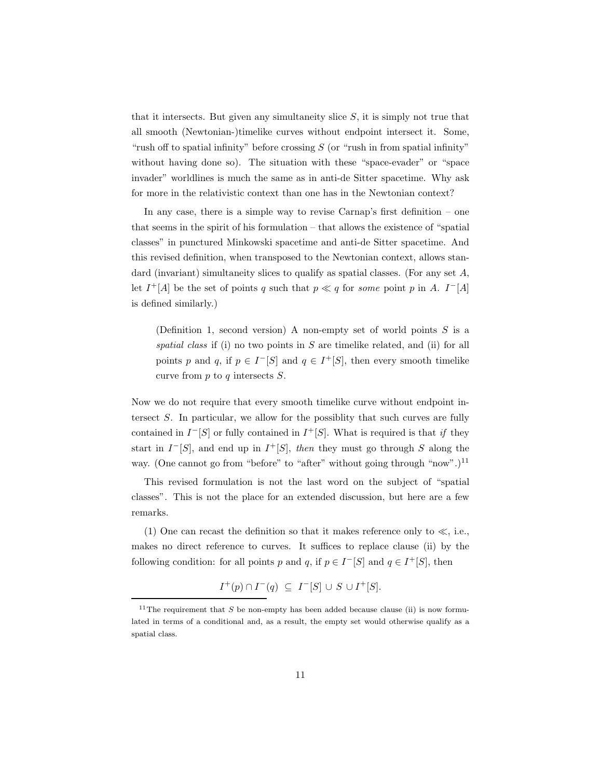that it intersects. But given any simultaneity slice  $S$ , it is simply not true that all smooth (Newtonian-)timelike curves without endpoint intersect it. Some, "rush off to spatial infinity" before crossing  $S$  (or "rush in from spatial infinity" without having done so). The situation with these "space-evader" or "space invader" worldlines is much the same as in anti-de Sitter spacetime. Why ask for more in the relativistic context than one has in the Newtonian context?

In any case, there is a simple way to revise Carnap's first definition  $-$  one that seems in the spirit of his formulation – that allows the existence of "spatial classes" in punctured Minkowski spacetime and anti-de Sitter spacetime. And this revised definition, when transposed to the Newtonian context, allows standard (invariant) simultaneity slices to qualify as spatial classes. (For any set A, let  $I^+[A]$  be the set of points q such that  $p \ll q$  for some point p in A.  $I^-[A]$ is defined similarly.)

(Definition 1, second version) A non-empty set of world points  $S$  is a spatial class if (i) no two points in  $S$  are timelike related, and (ii) for all points p and q, if  $p \in I^{-}[S]$  and  $q \in I^{+}[S]$ , then every smooth timelike curve from  $p$  to  $q$  intersects  $S$ .

Now we do not require that every smooth timelike curve without endpoint intersect S. In particular, we allow for the possiblity that such curves are fully contained in  $I^{-}[S]$  or fully contained in  $I^{+}[S]$ . What is required is that if they start in  $I^{-}[S]$ , and end up in  $I^{+}[S]$ , then they must go through S along the way. (One cannot go from "before" to "after" without going through "now".)<sup>11</sup>

This revised formulation is not the last word on the subject of "spatial classes". This is not the place for an extended discussion, but here are a few remarks.

(1) One can recast the definition so that it makes reference only to  $\ll$ , i.e., makes no direct reference to curves. It suffices to replace clause (ii) by the following condition: for all points p and q, if  $p \in I^{-}[S]$  and  $q \in I^{+}[S]$ , then

$$
I^+(p) \cap I^-(q) \ \subseteq \ I^-[S] \ \cup \ S \ \cup I^+[S].
$$

<sup>&</sup>lt;sup>11</sup>The requirement that S be non-empty has been added because clause (ii) is now formulated in terms of a conditional and, as a result, the empty set would otherwise qualify as a spatial class.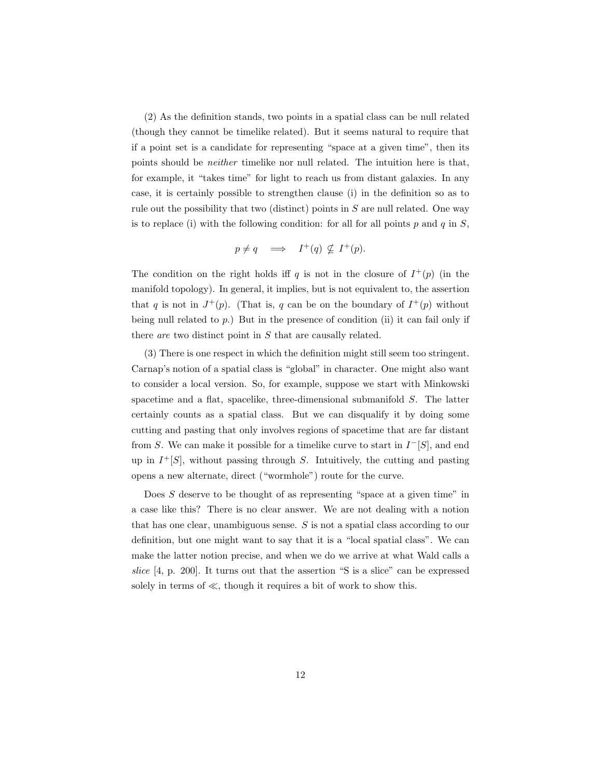(2) As the definition stands, two points in a spatial class can be null related (though they cannot be timelike related). But it seems natural to require that if a point set is a candidate for representing "space at a given time", then its points should be neither timelike nor null related. The intuition here is that, for example, it "takes time" for light to reach us from distant galaxies. In any case, it is certainly possible to strengthen clause (i) in the definition so as to rule out the possibility that two (distinct) points in  $S$  are null related. One way is to replace (i) with the following condition: for all for all points  $p$  and  $q$  in  $S$ ,

$$
p \neq q \quad \Longrightarrow \quad I^+(q) \nsubseteq I^+(p).
$$

The condition on the right holds iff q is not in the closure of  $I^+(p)$  (in the manifold topology). In general, it implies, but is not equivalent to, the assertion that q is not in  $J^+(p)$ . (That is, q can be on the boundary of  $I^+(p)$  without being null related to  $p$ .) But in the presence of condition (ii) it can fail only if there are two distinct point in S that are causally related.

(3) There is one respect in which the definition might still seem too stringent. Carnap's notion of a spatial class is "global" in character. One might also want to consider a local version. So, for example, suppose we start with Minkowski spacetime and a flat, spacelike, three-dimensional submanifold S. The latter certainly counts as a spatial class. But we can disqualify it by doing some cutting and pasting that only involves regions of spacetime that are far distant from S. We can make it possible for a timelike curve to start in  $I<sup>-</sup>[S]$ , and end up in  $I^+[S]$ , without passing through S. Intuitively, the cutting and pasting opens a new alternate, direct ("wormhole") route for the curve.

Does S deserve to be thought of as representing "space at a given time" in a case like this? There is no clear answer. We are not dealing with a notion that has one clear, unambiguous sense. S is not a spatial class according to our definition, but one might want to say that it is a "local spatial class". We can make the latter notion precise, and when we do we arrive at what Wald calls a slice [4, p. 200]. It turns out that the assertion "S is a slice" can be expressed solely in terms of ≪, though it requires a bit of work to show this.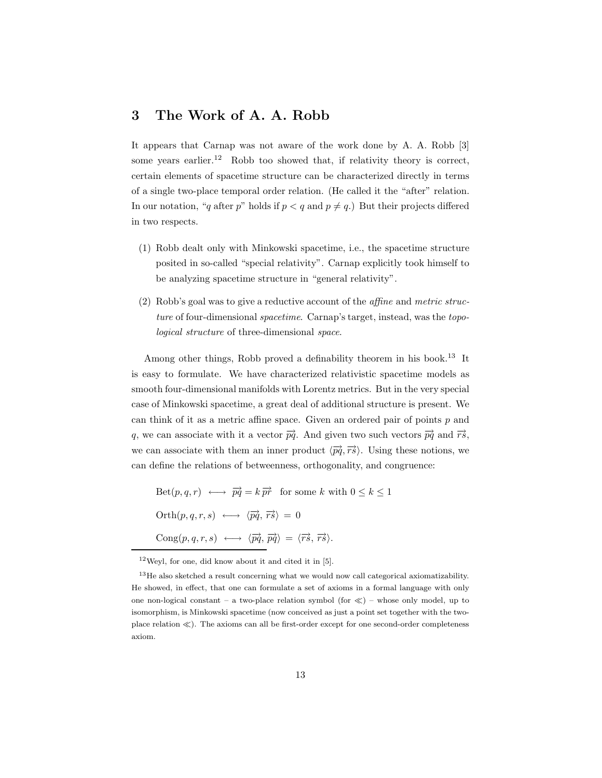#### 3 The Work of A. A. Robb

It appears that Carnap was not aware of the work done by A. A. Robb [3] some years earlier.<sup>12</sup> Robb too showed that, if relativity theory is correct, certain elements of spacetime structure can be characterized directly in terms of a single two-place temporal order relation. (He called it the "after" relation. In our notation, "q after p" holds if  $p < q$  and  $p \neq q$ .) But their projects differed in two respects.

- (1) Robb dealt only with Minkowski spacetime, i.e., the spacetime structure posited in so-called "special relativity". Carnap explicitly took himself to be analyzing spacetime structure in "general relativity".
- (2) Robb's goal was to give a reductive account of the affine and metric structure of four-dimensional *spacetime*. Carnap's target, instead, was the topological structure of three-dimensional space.

Among other things, Robb proved a definability theorem in his book.<sup>13</sup> It is easy to formulate. We have characterized relativistic spacetime models as smooth four-dimensional manifolds with Lorentz metrics. But in the very special case of Minkowski spacetime, a great deal of additional structure is present. We can think of it as a metric affine space. Given an ordered pair of points  $p$  and q, we can associate with it a vector  $\overrightarrow{pq}$ . And given two such vectors  $\overrightarrow{pq}$  and  $\overrightarrow{rs}$ , we can associate with them an inner product  $\langle \overrightarrow{pq}, \overrightarrow{rs} \rangle$ . Using these notions, we can define the relations of betweenness, orthogonality, and congruence:

$$
Set(p, q, r) \longleftrightarrow \overrightarrow{pq} = k \overrightarrow{pr} \text{ for some } k \text{ with } 0 \le k \le 1
$$
  
\n
$$
Orth(p, q, r, s) \longleftrightarrow \langle \overrightarrow{pq}, \overrightarrow{rs} \rangle = 0
$$
  
\n
$$
Cong(p, q, r, s) \longleftrightarrow \langle \overrightarrow{pq}, \overrightarrow{pq} \rangle = \langle \overrightarrow{rs}, \overrightarrow{rs} \rangle.
$$

 $12$  Weyl, for one, did know about it and cited it in [5].

<sup>&</sup>lt;sup>13</sup>He also sketched a result concerning what we would now call categorical axiomatizability. He showed, in effect, that one can formulate a set of axioms in a formal language with only one non-logical constant – a two-place relation symbol (for ≪) – whose only model, up to isomorphism, is Minkowski spacetime (now conceived as just a point set together with the twoplace relation ≪). The axioms can all be first-order except for one second-order completeness axiom.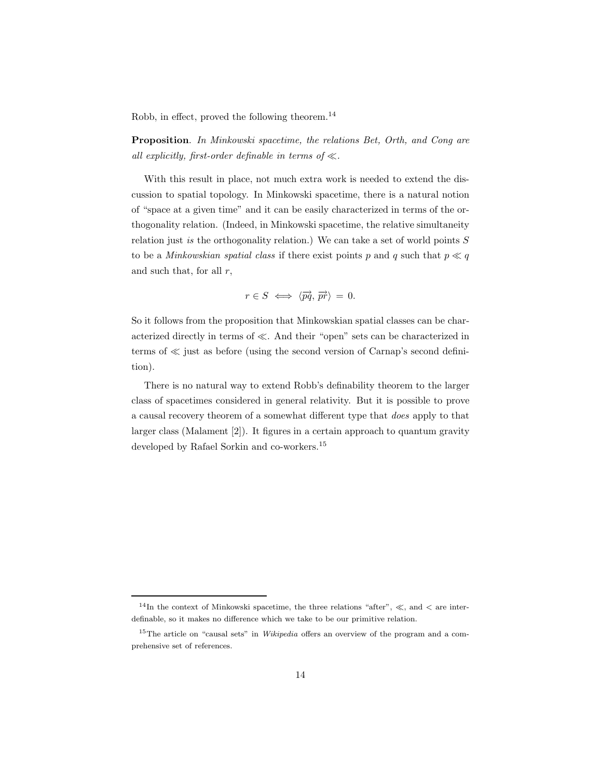Robb, in effect, proved the following theorem.<sup>14</sup>

Proposition. In Minkowski spacetime, the relations Bet, Orth, and Cong are all explicitly, first-order definable in terms of  $\ll$ .

With this result in place, not much extra work is needed to extend the discussion to spatial topology. In Minkowski spacetime, there is a natural notion of "space at a given time" and it can be easily characterized in terms of the orthogonality relation. (Indeed, in Minkowski spacetime, the relative simultaneity relation just is the orthogonality relation.) We can take a set of world points  $S$ to be a *Minkowskian spatial class* if there exist points p and q such that  $p \ll q$ and such that, for all  $r$ ,

$$
r \in S \iff \langle \overrightarrow{pq}, \overrightarrow{pr} \rangle = 0.
$$

So it follows from the proposition that Minkowskian spatial classes can be characterized directly in terms of ≪. And their "open" sets can be characterized in terms of ≪ just as before (using the second version of Carnap's second definition).

There is no natural way to extend Robb's definability theorem to the larger class of spacetimes considered in general relativity. But it is possible to prove a causal recovery theorem of a somewhat different type that does apply to that larger class (Malament [2]). It figures in a certain approach to quantum gravity developed by Rafael Sorkin and co-workers.<sup>15</sup>

<sup>&</sup>lt;sup>14</sup>In the context of Minkowski spacetime, the three relations "after",  $\ll$ , and  $\lt$  are interdefinable, so it makes no difference which we take to be our primitive relation.

<sup>&</sup>lt;sup>15</sup>The article on "causal sets" in *Wikipedia* offers an overview of the program and a comprehensive set of references.